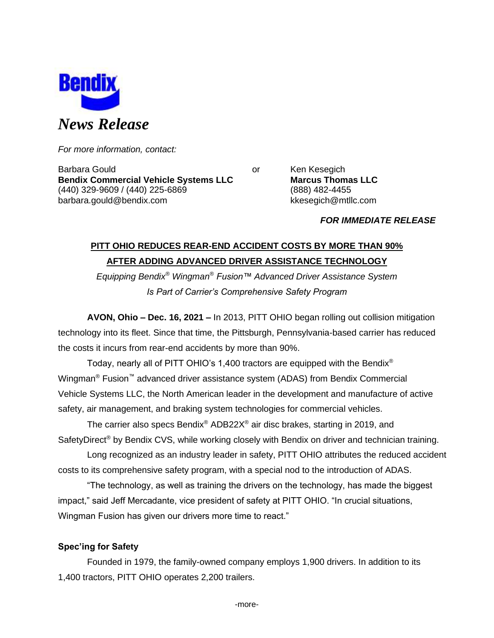

*For more information, contact:*

Barbara Gould **Communist Communist Communist Communist Communist Communist Communist Communist Communist Communist Communist Communist Communist Communist Communist Communist Communist Communist Communist Communist Communi Bendix Commercial Vehicle Systems LLC Marcus Thomas LLC** (440) 329-9609 / (440) 225-6869 (888) 482-4455 barbara.gould@bendix.com kkesegich@mtllc.com

*FOR IMMEDIATE RELEASE*

# **PITT OHIO REDUCES REAR-END ACCIDENT COSTS BY MORE THAN 90% AFTER ADDING ADVANCED DRIVER ASSISTANCE TECHNOLOGY**

*Equipping Bendix® Wingman® Fusion™ Advanced Driver Assistance System Is Part of Carrier's Comprehensive Safety Program*

**AVON, Ohio – Dec. 16, 2021 –** In 2013, PITT OHIO began rolling out collision mitigation technology into its fleet. Since that time, the Pittsburgh, Pennsylvania-based carrier has reduced the costs it incurs from rear-end accidents by more than 90%.

Today, nearly all of PITT OHIO's 1,400 tractors are equipped with the Bendix<sup>®</sup> Wingman® Fusion™ advanced driver assistance system (ADAS) from Bendix Commercial Vehicle Systems LLC, the North American leader in the development and manufacture of active safety, air management, and braking system technologies for commercial vehicles.

The carrier also specs Bendix® ADB22X® air disc brakes, starting in 2019, and SafetyDirect<sup>®</sup> by Bendix CVS, while working closely with Bendix on driver and technician training.

Long recognized as an industry leader in safety, PITT OHIO attributes the reduced accident costs to its comprehensive safety program, with a special nod to the introduction of ADAS.

"The technology, as well as training the drivers on the technology, has made the biggest impact," said Jeff Mercadante, vice president of safety at PITT OHIO. "In crucial situations, Wingman Fusion has given our drivers more time to react."

# **Spec'ing for Safety**

Founded in 1979, the family-owned company employs 1,900 drivers. In addition to its 1,400 tractors, PITT OHIO operates 2,200 trailers.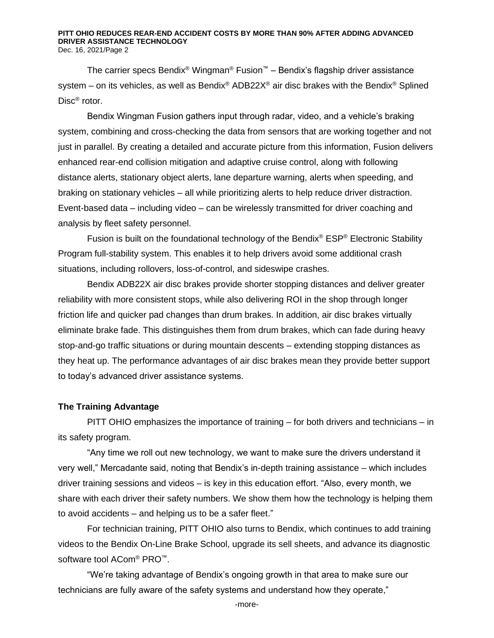#### **PITT OHIO REDUCES REAR-END ACCIDENT COSTS BY MORE THAN 90% AFTER ADDING ADVANCED DRIVER ASSISTANCE TECHNOLOGY** Dec. 16, 2021/Page 2

The carrier specs Bendix® Wingman® Fusion™ – Bendix's flagship driver assistance system – on its vehicles, as well as Bendix<sup>®</sup> ADB22X<sup>®</sup> air disc brakes with the Bendix<sup>®</sup> Splined Disc® rotor.

Bendix Wingman Fusion gathers input through radar, video, and a vehicle's braking system, combining and cross-checking the data from sensors that are working together and not just in parallel. By creating a detailed and accurate picture from this information, Fusion delivers enhanced rear-end collision mitigation and adaptive cruise control, along with following distance alerts, stationary object alerts, lane departure warning, alerts when speeding, and braking on stationary vehicles – all while prioritizing alerts to help reduce driver distraction. Event-based data – including video – can be wirelessly transmitted for driver coaching and analysis by fleet safety personnel.

Fusion is built on the foundational technology of the Bendix<sup>®</sup> ESP<sup>®</sup> Electronic Stability Program full-stability system. This enables it to help drivers avoid some additional crash situations, including rollovers, loss-of-control, and sideswipe crashes.

Bendix ADB22X air disc brakes provide shorter stopping distances and deliver greater reliability with more consistent stops, while also delivering ROI in the shop through longer friction life and quicker pad changes than drum brakes. In addition, air disc brakes virtually eliminate brake fade. This distinguishes them from drum brakes, which can fade during heavy stop-and-go traffic situations or during mountain descents – extending stopping distances as they heat up. The performance advantages of air disc brakes mean they provide better support to today's advanced driver assistance systems.

### **The Training Advantage**

PITT OHIO emphasizes the importance of training – for both drivers and technicians – in its safety program.

"Any time we roll out new technology, we want to make sure the drivers understand it very well," Mercadante said, noting that Bendix's in-depth training assistance – which includes driver training sessions and videos – is key in this education effort. "Also, every month, we share with each driver their safety numbers. We show them how the technology is helping them to avoid accidents – and helping us to be a safer fleet."

For technician training, PITT OHIO also turns to Bendix, which continues to add training videos to the Bendix On-Line Brake School, upgrade its sell sheets, and advance its diagnostic software tool ACom<sup>®</sup> PRO<sup>™</sup>.

"We're taking advantage of Bendix's ongoing growth in that area to make sure our technicians are fully aware of the safety systems and understand how they operate,"

-more-